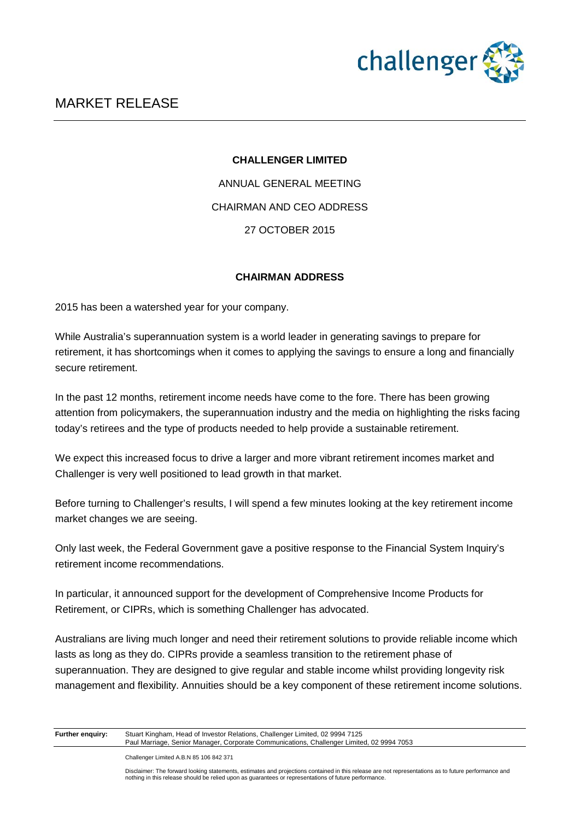

#### **CHALLENGER LIMITED**

ANNUAL GENERAL MEETING CHAIRMAN AND CEO ADDRESS 27 OCTOBER 2015

### **CHAIRMAN ADDRESS**

2015 has been a watershed year for your company.

While Australia's superannuation system is a world leader in generating savings to prepare for retirement, it has shortcomings when it comes to applying the savings to ensure a long and financially secure retirement.

In the past 12 months, retirement income needs have come to the fore. There has been growing attention from policymakers, the superannuation industry and the media on highlighting the risks facing today's retirees and the type of products needed to help provide a sustainable retirement.

We expect this increased focus to drive a larger and more vibrant retirement incomes market and Challenger is very well positioned to lead growth in that market.

Before turning to Challenger's results, I will spend a few minutes looking at the key retirement income market changes we are seeing.

Only last week, the Federal Government gave a positive response to the Financial System Inquiry's retirement income recommendations.

In particular, it announced support for the development of Comprehensive Income Products for Retirement, or CIPRs, which is something Challenger has advocated.

Australians are living much longer and need their retirement solutions to provide reliable income which lasts as long as they do. CIPRs provide a seamless transition to the retirement phase of superannuation. They are designed to give regular and stable income whilst providing longevity risk management and flexibility. Annuities should be a key component of these retirement income solutions.

| <b>Further enguiry:</b> | Stuart Kingham, Head of Investor Relations, Challenger Limited, 02 9994 7125              |
|-------------------------|-------------------------------------------------------------------------------------------|
|                         | Paul Marriage, Senior Manager, Corporate Communications, Challenger Limited, 02 9994 7053 |
|                         |                                                                                           |

Challenger Limited A.B.N 85 106 842 371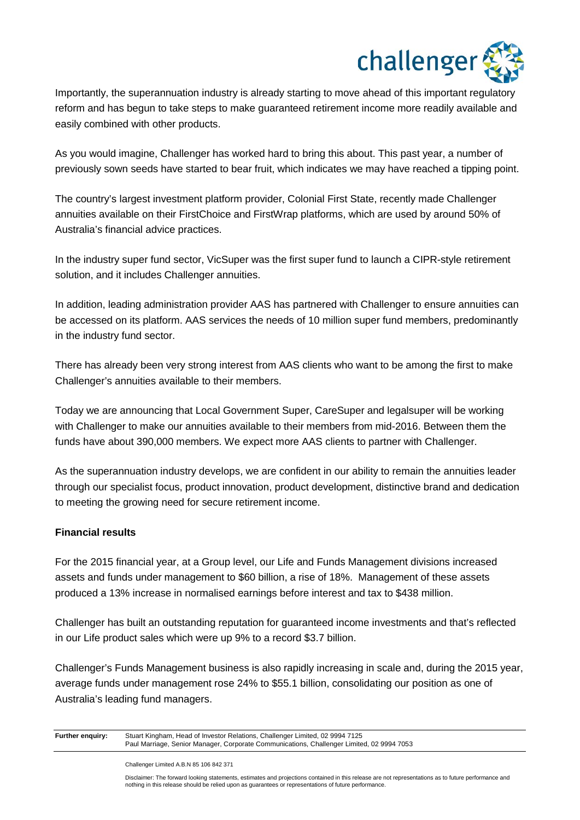

Importantly, the superannuation industry is already starting to move ahead of this important regulatory reform and has begun to take steps to make guaranteed retirement income more readily available and easily combined with other products.

As you would imagine, Challenger has worked hard to bring this about. This past year, a number of previously sown seeds have started to bear fruit, which indicates we may have reached a tipping point.

The country's largest investment platform provider, Colonial First State, recently made Challenger annuities available on their FirstChoice and FirstWrap platforms, which are used by around 50% of Australia's financial advice practices.

In the industry super fund sector, VicSuper was the first super fund to launch a CIPR-style retirement solution, and it includes Challenger annuities.

In addition, leading administration provider AAS has partnered with Challenger to ensure annuities can be accessed on its platform. AAS services the needs of 10 million super fund members, predominantly in the industry fund sector.

There has already been very strong interest from AAS clients who want to be among the first to make Challenger's annuities available to their members.

Today we are announcing that Local Government Super, CareSuper and legalsuper will be working with Challenger to make our annuities available to their members from mid-2016. Between them the funds have about 390,000 members. We expect more AAS clients to partner with Challenger.

As the superannuation industry develops, we are confident in our ability to remain the annuities leader through our specialist focus, product innovation, product development, distinctive brand and dedication to meeting the growing need for secure retirement income.

### **Financial results**

For the 2015 financial year, at a Group level, our Life and Funds Management divisions increased assets and funds under management to \$60 billion, a rise of 18%. Management of these assets produced a 13% increase in normalised earnings before interest and tax to \$438 million.

Challenger has built an outstanding reputation for guaranteed income investments and that's reflected in our Life product sales which were up 9% to a record \$3.7 billion.

Challenger's Funds Management business is also rapidly increasing in scale and, during the 2015 year, average funds under management rose 24% to \$55.1 billion, consolidating our position as one of Australia's leading fund managers.

**Further enquiry:** Stuart Kingham, Head of Investor Relations, Challenger Limited, 02 9994 7125 Paul Marriage, Senior Manager, Corporate Communications, Challenger Limited, 02 9994 7053

Challenger Limited A.B.N 85 106 842 371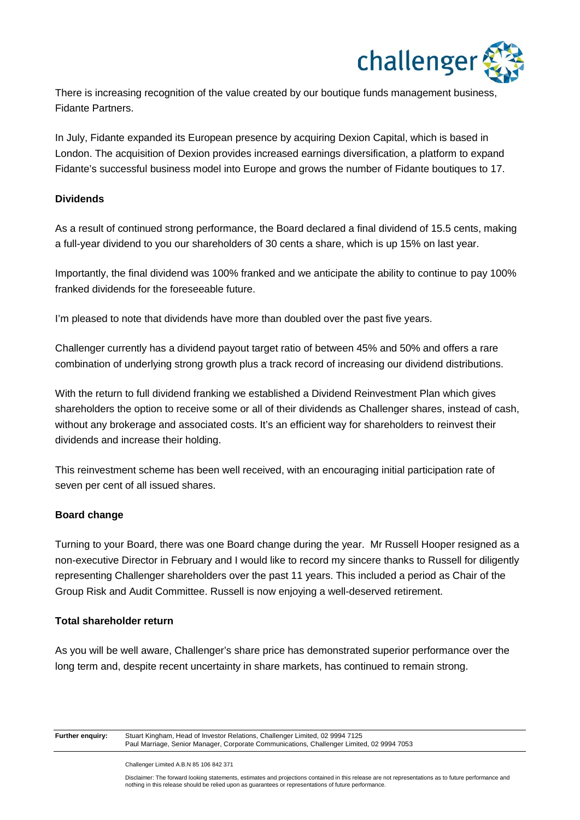

There is increasing recognition of the value created by our boutique funds management business, Fidante Partners.

In July, Fidante expanded its European presence by acquiring Dexion Capital, which is based in London. The acquisition of Dexion provides increased earnings diversification, a platform to expand Fidante's successful business model into Europe and grows the number of Fidante boutiques to 17.

### **Dividends**

As a result of continued strong performance, the Board declared a final dividend of 15.5 cents, making a full-year dividend to you our shareholders of 30 cents a share, which is up 15% on last year.

Importantly, the final dividend was 100% franked and we anticipate the ability to continue to pay 100% franked dividends for the foreseeable future.

I'm pleased to note that dividends have more than doubled over the past five years.

Challenger currently has a dividend payout target ratio of between 45% and 50% and offers a rare combination of underlying strong growth plus a track record of increasing our dividend distributions.

With the return to full dividend franking we established a Dividend Reinvestment Plan which gives shareholders the option to receive some or all of their dividends as Challenger shares, instead of cash, without any brokerage and associated costs. It's an efficient way for shareholders to reinvest their dividends and increase their holding.

This reinvestment scheme has been well received, with an encouraging initial participation rate of seven per cent of all issued shares.

### **Board change**

Turning to your Board, there was one Board change during the year. Mr Russell Hooper resigned as a non-executive Director in February and I would like to record my sincere thanks to Russell for diligently representing Challenger shareholders over the past 11 years. This included a period as Chair of the Group Risk and Audit Committee. Russell is now enjoying a well-deserved retirement.

#### **Total shareholder return**

As you will be well aware, Challenger's share price has demonstrated superior performance over the long term and, despite recent uncertainty in share markets, has continued to remain strong.

**Further enquiry:** Stuart Kingham, Head of Investor Relations, Challenger Limited, 02 9994 7125 Paul Marriage, Senior Manager, Corporate Communications, Challenger Limited, 02 9994 7053

Challenger Limited A.B.N 85 106 842 371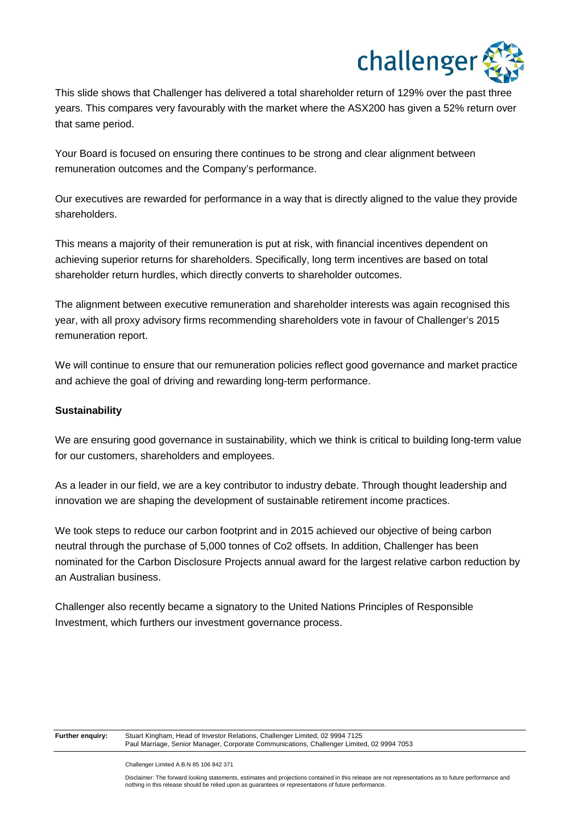

This slide shows that Challenger has delivered a total shareholder return of 129% over the past three years. This compares very favourably with the market where the ASX200 has given a 52% return over that same period.

Your Board is focused on ensuring there continues to be strong and clear alignment between remuneration outcomes and the Company's performance.

Our executives are rewarded for performance in a way that is directly aligned to the value they provide shareholders.

This means a majority of their remuneration is put at risk, with financial incentives dependent on achieving superior returns for shareholders. Specifically, long term incentives are based on total shareholder return hurdles, which directly converts to shareholder outcomes.

The alignment between executive remuneration and shareholder interests was again recognised this year, with all proxy advisory firms recommending shareholders vote in favour of Challenger's 2015 remuneration report.

We will continue to ensure that our remuneration policies reflect good governance and market practice and achieve the goal of driving and rewarding long-term performance.

### **Sustainability**

We are ensuring good governance in sustainability, which we think is critical to building long-term value for our customers, shareholders and employees.

As a leader in our field, we are a key contributor to industry debate. Through thought leadership and innovation we are shaping the development of sustainable retirement income practices.

We took steps to reduce our carbon footprint and in 2015 achieved our objective of being carbon neutral through the purchase of 5,000 tonnes of Co2 offsets. In addition, Challenger has been nominated for the Carbon Disclosure Projects annual award for the largest relative carbon reduction by an Australian business.

Challenger also recently became a signatory to the United Nations Principles of Responsible Investment, which furthers our investment governance process.

Stuart Kingham, Head of Investor Relations, Challenger Limited, 02 9994 7125 Paul Marriage, Senior Manager, Corporate Communications, Challenger Limited, 02 9994 7053

Challenger Limited A.B.N 85 106 842 371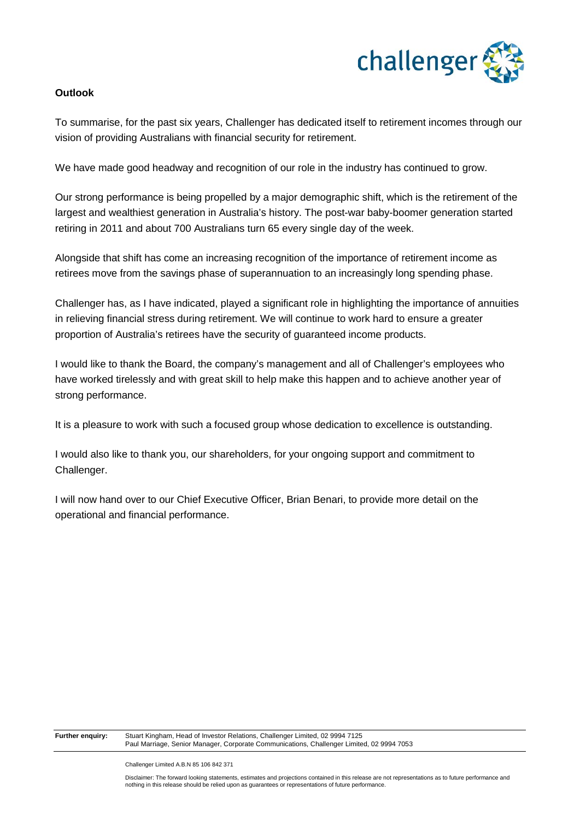

### **Outlook**

To summarise, for the past six years, Challenger has dedicated itself to retirement incomes through our vision of providing Australians with financial security for retirement.

We have made good headway and recognition of our role in the industry has continued to grow.

Our strong performance is being propelled by a major demographic shift, which is the retirement of the largest and wealthiest generation in Australia's history. The post-war baby-boomer generation started retiring in 2011 and about 700 Australians turn 65 every single day of the week.

Alongside that shift has come an increasing recognition of the importance of retirement income as retirees move from the savings phase of superannuation to an increasingly long spending phase.

Challenger has, as I have indicated, played a significant role in highlighting the importance of annuities in relieving financial stress during retirement. We will continue to work hard to ensure a greater proportion of Australia's retirees have the security of guaranteed income products.

I would like to thank the Board, the company's management and all of Challenger's employees who have worked tirelessly and with great skill to help make this happen and to achieve another year of strong performance.

It is a pleasure to work with such a focused group whose dedication to excellence is outstanding.

I would also like to thank you, our shareholders, for your ongoing support and commitment to Challenger.

I will now hand over to our Chief Executive Officer, Brian Benari, to provide more detail on the operational and financial performance.

**Further enquiry:** Stuart Kingham, Head of Investor Relations, Challenger Limited, 02 9994 7125 Paul Marriage, Senior Manager, Corporate Communications, Challenger Limited, 02 9994 7053

Challenger Limited A.B.N 85 106 842 371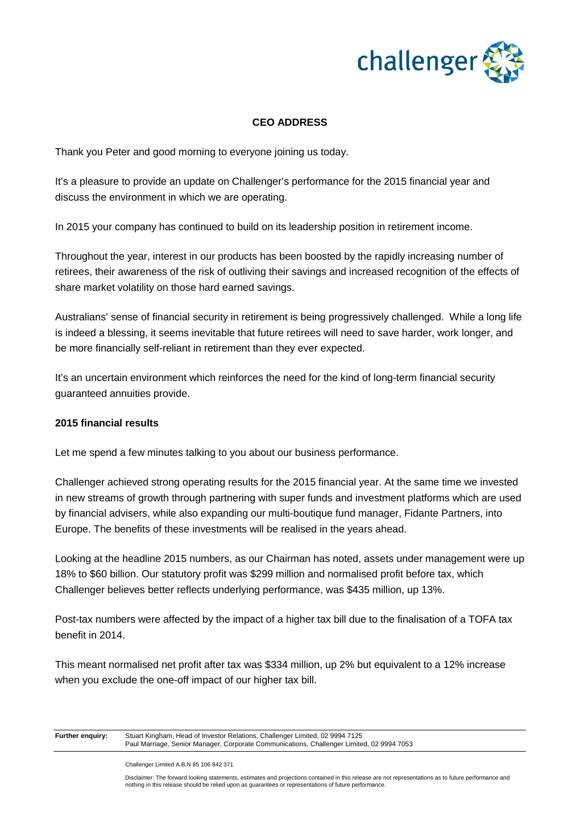

### **CEO ADDRESS**

Thank you Peter and good morning to everyone joining us today.

It's a pleasure to provide an update on Challenger's performance for the 2015 financial year and discuss the environment in which we are operating.

In 2015 your company has continued to build on its leadership position in retirement income.

Throughout the year, interest in our products has been boosted by the rapidly increasing number of retirees, their awareness of the risk of outliving their savings and increased recognition of the effects of share market volatility on those hard earned savings.

Australians' sense of financial security in retirement is being progressively challenged. While a long life is indeed a blessing, it seems inevitable that future retirees will need to save harder, work longer, and be more financially self-reliant in retirement than they ever expected.

It's an uncertain environment which reinforces the need for the kind of long-term financial security guaranteed annuities provide.

#### **2015 financial results**

Let me spend a few minutes talking to you about our business performance.

Challenger achieved strong operating results for the 2015 financial year. At the same time we invested in new streams of growth through partnering with super funds and investment platforms which are used by financial advisers, while also expanding our multi-boutique fund manager, Fidante Partners, into Europe. The benefits of these investments will be realised in the years ahead.

Looking at the headline 2015 numbers, as our Chairman has noted, assets under management were up 18% to \$60 billion. Our statutory profit was \$299 million and normalised profit before tax, which Challenger believes better reflects underlying performance, was \$435 million, up 13%.

Post-tax numbers were affected by the impact of a higher tax bill due to the finalisation of a TOFA tax benefit in 2014.

This meant normalised net profit after tax was \$334 million, up 2% but equivalent to a 12% increase when you exclude the one-off impact of our higher tax bill.

**Further enquiry:** Stuart Kingham, Head of Investor Relations, Challenger Limited, 02 9994 7125 Paul Marriage, Senior Manager, Corporate Communications, Challenger Limited, 02 9994 7053

Challenger Limited A.B.N 85 106 842 371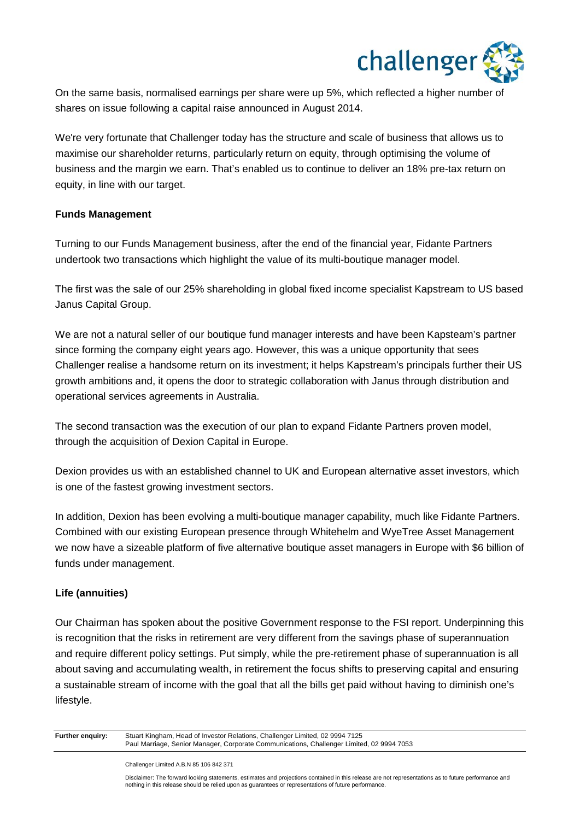

On the same basis, normalised earnings per share were up 5%, which reflected a higher number of shares on issue following a capital raise announced in August 2014.

We're very fortunate that Challenger today has the structure and scale of business that allows us to maximise our shareholder returns, particularly return on equity, through optimising the volume of business and the margin we earn. That's enabled us to continue to deliver an 18% pre-tax return on equity, in line with our target.

### **Funds Management**

Turning to our Funds Management business, after the end of the financial year, Fidante Partners undertook two transactions which highlight the value of its multi-boutique manager model.

The first was the sale of our 25% shareholding in global fixed income specialist Kapstream to US based Janus Capital Group.

We are not a natural seller of our boutique fund manager interests and have been Kapsteam's partner since forming the company eight years ago. However, this was a unique opportunity that sees Challenger realise a handsome return on its investment; it helps Kapstream's principals further their US growth ambitions and, it opens the door to strategic collaboration with Janus through distribution and operational services agreements in Australia.

The second transaction was the execution of our plan to expand Fidante Partners proven model, through the acquisition of Dexion Capital in Europe.

Dexion provides us with an established channel to UK and European alternative asset investors, which is one of the fastest growing investment sectors.

In addition, Dexion has been evolving a multi-boutique manager capability, much like Fidante Partners. Combined with our existing European presence through Whitehelm and WyeTree Asset Management we now have a sizeable platform of five alternative boutique asset managers in Europe with \$6 billion of funds under management.

### **Life (annuities)**

Our Chairman has spoken about the positive Government response to the FSI report. Underpinning this is recognition that the risks in retirement are very different from the savings phase of superannuation and require different policy settings. Put simply, while the pre-retirement phase of superannuation is all about saving and accumulating wealth, in retirement the focus shifts to preserving capital and ensuring a sustainable stream of income with the goal that all the bills get paid without having to diminish one's lifestyle.

**Further enquiry:** Stuart Kingham, Head of Investor Relations, Challenger Limited, 02 9994 7125 Paul Marriage, Senior Manager, Corporate Communications, Challenger Limited, 02 9994 7053

Challenger Limited A.B.N 85 106 842 371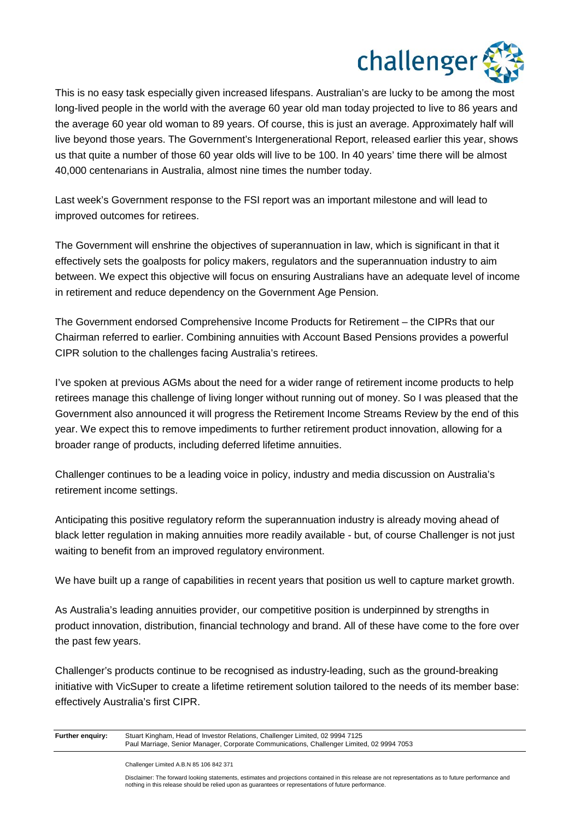

This is no easy task especially given increased lifespans. Australian's are lucky to be among the most long-lived people in the world with the average 60 year old man today projected to live to 86 years and the average 60 year old woman to 89 years. Of course, this is just an average. Approximately half will live beyond those years. The Government's Intergenerational Report, released earlier this year, shows us that quite a number of those 60 year olds will live to be 100. In 40 years' time there will be almost 40,000 centenarians in Australia, almost nine times the number today.

Last week's Government response to the FSI report was an important milestone and will lead to improved outcomes for retirees.

The Government will enshrine the objectives of superannuation in law, which is significant in that it effectively sets the goalposts for policy makers, regulators and the superannuation industry to aim between. We expect this objective will focus on ensuring Australians have an adequate level of income in retirement and reduce dependency on the Government Age Pension.

The Government endorsed Comprehensive Income Products for Retirement – the CIPRs that our Chairman referred to earlier. Combining annuities with Account Based Pensions provides a powerful CIPR solution to the challenges facing Australia's retirees.

I've spoken at previous AGMs about the need for a wider range of retirement income products to help retirees manage this challenge of living longer without running out of money. So I was pleased that the Government also announced it will progress the Retirement Income Streams Review by the end of this year. We expect this to remove impediments to further retirement product innovation, allowing for a broader range of products, including deferred lifetime annuities.

Challenger continues to be a leading voice in policy, industry and media discussion on Australia's retirement income settings.

Anticipating this positive regulatory reform the superannuation industry is already moving ahead of black letter regulation in making annuities more readily available - but, of course Challenger is not just waiting to benefit from an improved regulatory environment.

We have built up a range of capabilities in recent years that position us well to capture market growth.

As Australia's leading annuities provider, our competitive position is underpinned by strengths in product innovation, distribution, financial technology and brand. All of these have come to the fore over the past few years.

Challenger's products continue to be recognised as industry-leading, such as the ground-breaking initiative with VicSuper to create a lifetime retirement solution tailored to the needs of its member base: effectively Australia's first CIPR.

**Further enquiry:** Stuart Kingham, Head of Investor Relations, Challenger Limited, 02 9994 7125 Paul Marriage, Senior Manager, Corporate Communications, Challenger Limited, 02 9994 7053

Challenger Limited A.B.N 85 106 842 371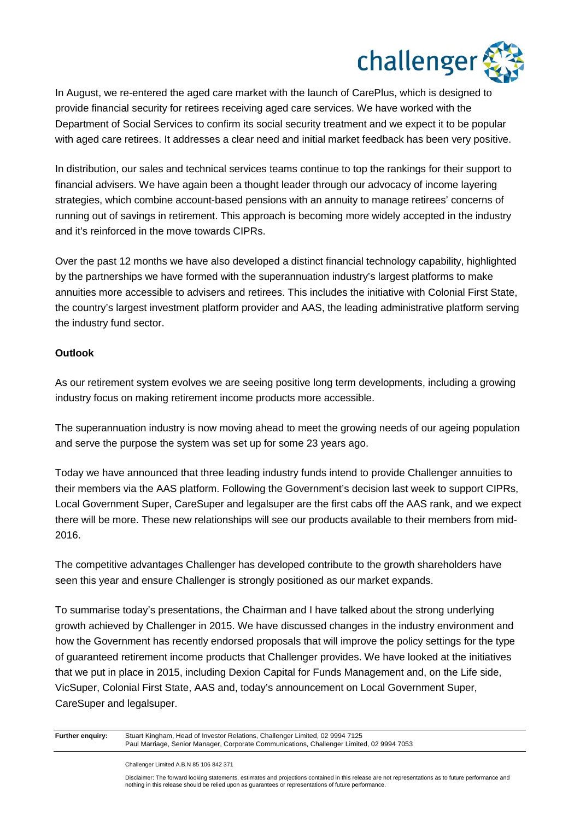

In August, we re-entered the aged care market with the launch of CarePlus, which is designed to provide financial security for retirees receiving aged care services. We have worked with the Department of Social Services to confirm its social security treatment and we expect it to be popular with aged care retirees. It addresses a clear need and initial market feedback has been very positive.

In distribution, our sales and technical services teams continue to top the rankings for their support to financial advisers. We have again been a thought leader through our advocacy of income layering strategies, which combine account-based pensions with an annuity to manage retirees' concerns of running out of savings in retirement. This approach is becoming more widely accepted in the industry and it's reinforced in the move towards CIPRs.

Over the past 12 months we have also developed a distinct financial technology capability, highlighted by the partnerships we have formed with the superannuation industry's largest platforms to make annuities more accessible to advisers and retirees. This includes the initiative with Colonial First State, the country's largest investment platform provider and AAS, the leading administrative platform serving the industry fund sector.

### **Outlook**

As our retirement system evolves we are seeing positive long term developments, including a growing industry focus on making retirement income products more accessible.

The superannuation industry is now moving ahead to meet the growing needs of our ageing population and serve the purpose the system was set up for some 23 years ago.

Today we have announced that three leading industry funds intend to provide Challenger annuities to their members via the AAS platform. Following the Government's decision last week to support CIPRs, Local Government Super, CareSuper and legalsuper are the first cabs off the AAS rank, and we expect there will be more. These new relationships will see our products available to their members from mid-2016.

The competitive advantages Challenger has developed contribute to the growth shareholders have seen this year and ensure Challenger is strongly positioned as our market expands.

To summarise today's presentations, the Chairman and I have talked about the strong underlying growth achieved by Challenger in 2015. We have discussed changes in the industry environment and how the Government has recently endorsed proposals that will improve the policy settings for the type of guaranteed retirement income products that Challenger provides. We have looked at the initiatives that we put in place in 2015, including Dexion Capital for Funds Management and, on the Life side, VicSuper, Colonial First State, AAS and, today's announcement on Local Government Super, CareSuper and legalsuper.

**Further enquiry:** Stuart Kingham, Head of Investor Relations, Challenger Limited, 02 9994 7125 Paul Marriage, Senior Manager, Corporate Communications, Challenger Limited, 02 9994 7053

Challenger Limited A.B.N 85 106 842 371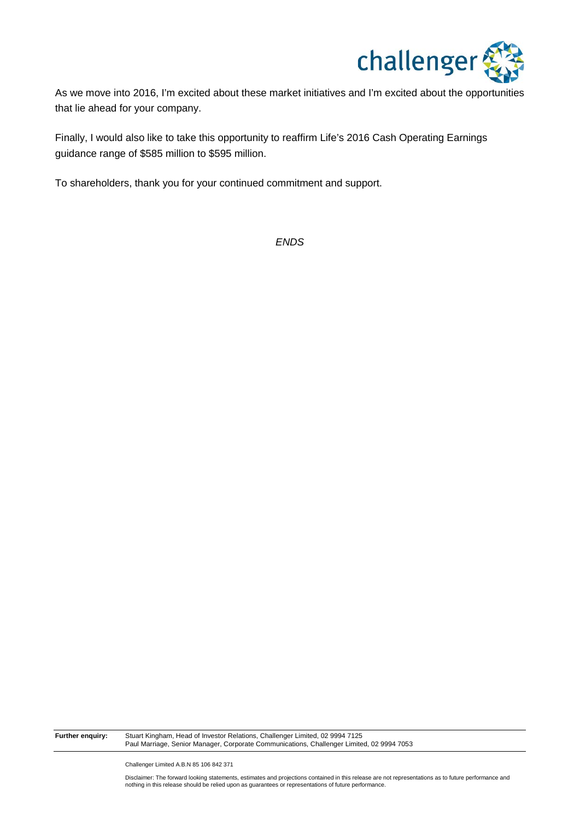

As we move into 2016, I'm excited about these market initiatives and I'm excited about the opportunities that lie ahead for your company.

Finally, I would also like to take this opportunity to reaffirm Life's 2016 Cash Operating Earnings guidance range of \$585 million to \$595 million.

To shareholders, thank you for your continued commitment and support.

*ENDS*

**Further enquiry:** Stuart Kingham, Head of Investor Relations, Challenger Limited, 02 9994 7125 Paul Marriage, Senior Manager, Corporate Communications, Challenger Limited, 02 9994 7053

Challenger Limited A.B.N 85 106 842 371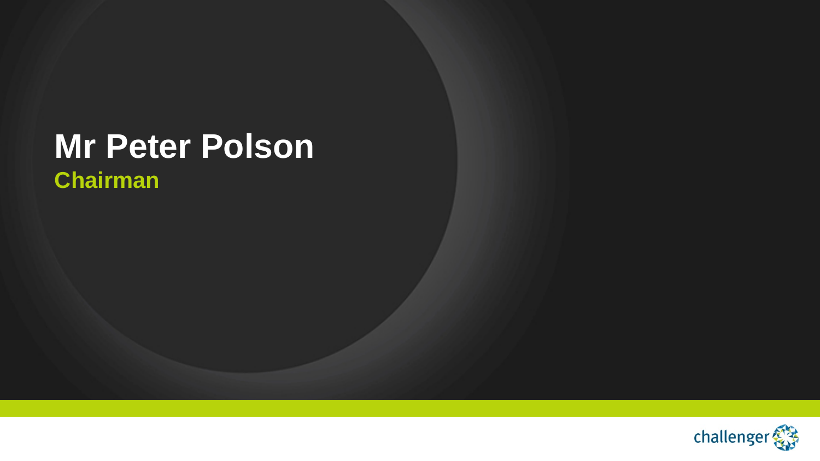## **Mr Peter Polson Chairman**

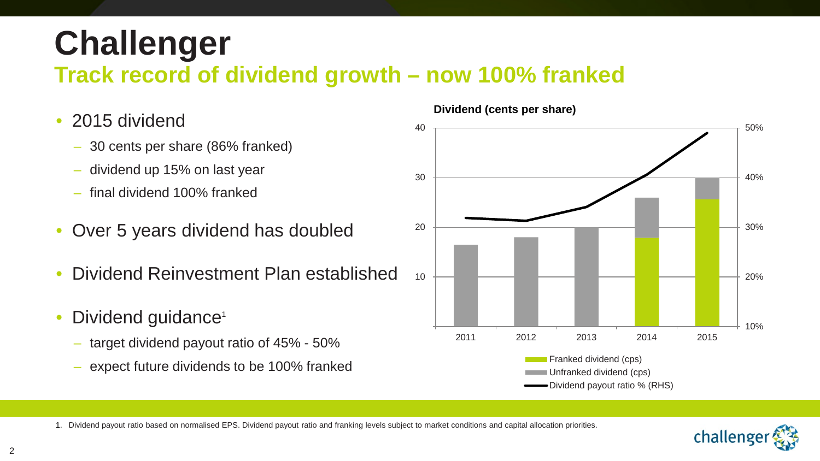# **Challenger**

### **Track record of dividend growth – now 100% franked**

- 2015 dividend
	- 30 cents per share (86% franked)
	- dividend up 15% on last year
	- final dividend 100% franked
- Over 5 years dividend has doubled
- Dividend Reinvestment Plan established
- Dividend guidance<sup>1</sup>
	- target dividend payout ratio of 45% 50%
	- expect future dividends to be 100% franked



**Dividend (cents per share)**

1. Dividend payout ratio based on normalised EPS. Dividend payout ratio and franking levels subject to market conditions and capital allocation priorities.

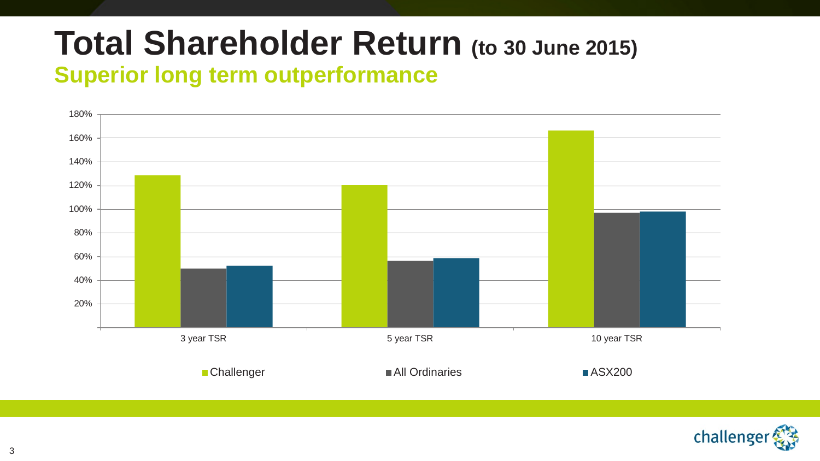# **Total Shareholder Return (to 30 June 2015)**

### **Superior long term outperformance**



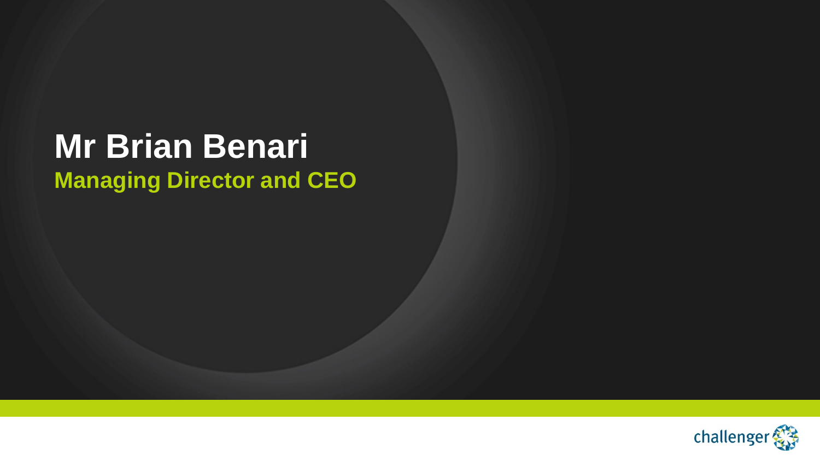## **Mr Brian Benari Managing Director and CEO**

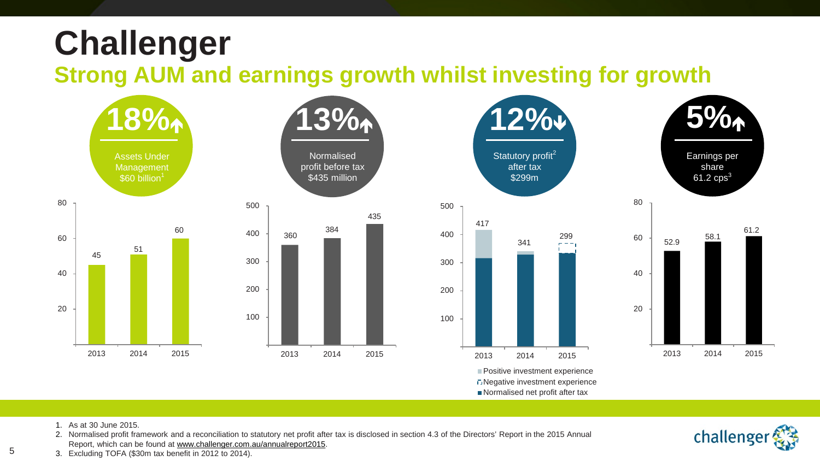# **Challenger**

**Strong AUM and earnings growth whilst investing for growth** 









Normalised net profit after tax

1. As at 30 June 2015.

5

2. Normalised profit framework and a reconciliation to statutory net profit after tax is disclosed in section 4.3 of the Directors' Report in the 2015 Annual Report, which can be found at [www.challenger.com.au/annualreport2015.](http://www.challenger.com.au/annualreport2015)



3. Excluding TOFA (\$30m tax benefit in 2012 to 2014).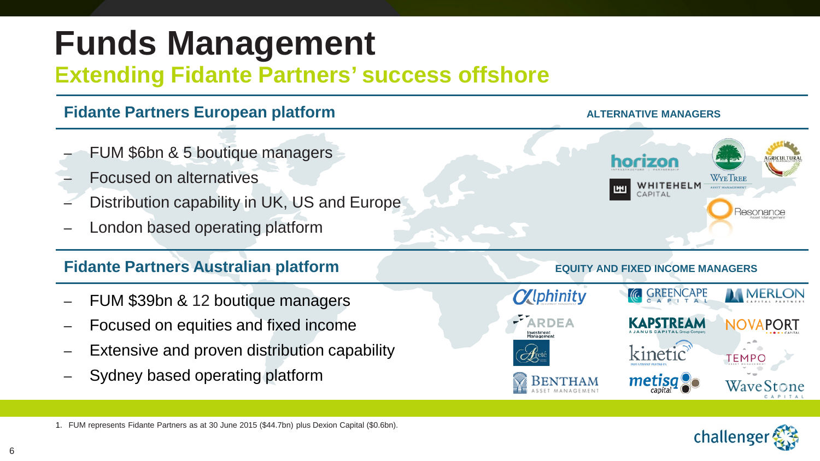# **Funds Management**

### **Extending Fidante Partners' success offshore**



challenge

1. FUM represents Fidante Partners as at 30 June 2015 (\$44.7bn) plus Dexion Capital (\$0.6bn).